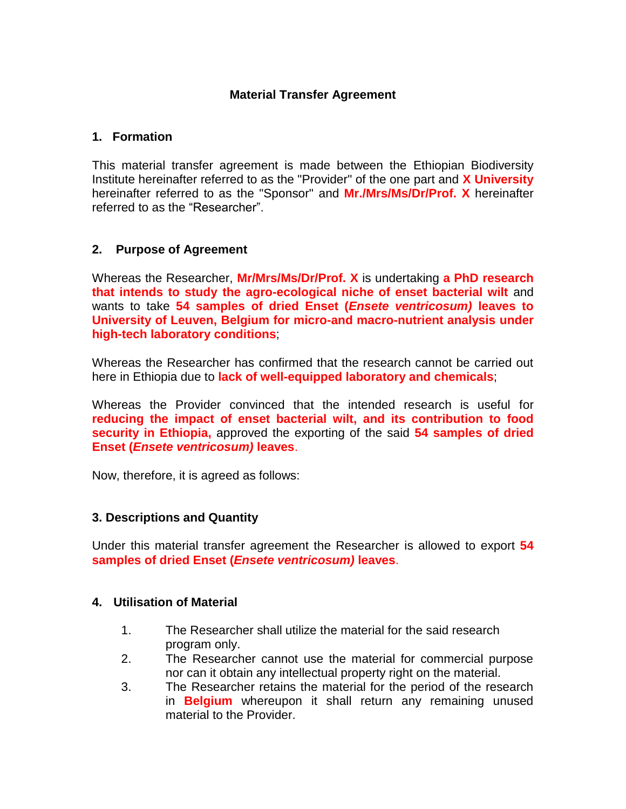# **Material Transfer Agreement**

#### **1. Formation**

This material transfer agreement is made between the Ethiopian Biodiversity Institute hereinafter referred to as the "Provider" of the one part and **X University** hereinafter referred to as the "Sponsor" and **Mr./Mrs/Ms/Dr/Prof. X** hereinafter referred to as the "Researcher".

## **2. Purpose of Agreement**

Whereas the Researcher, **Mr/Mrs/Ms/Dr/Prof. X** is undertaking **a PhD research that intends to study the agro-ecological niche of enset bacterial wilt** and wants to take **54 samples of dried Enset (***Ensete ventricosum)* **leaves to University of Leuven, Belgium for micro-and macro-nutrient analysis under high-tech laboratory conditions**;

Whereas the Researcher has confirmed that the research cannot be carried out here in Ethiopia due to **lack of well-equipped laboratory and chemicals**;

Whereas the Provider convinced that the intended research is useful for **reducing the impact of enset bacterial wilt, and its contribution to food security in Ethiopia,** approved the exporting of the said **54 samples of dried Enset (***Ensete ventricosum)* **leaves**.

Now, therefore, it is agreed as follows:

## **3. Descriptions and Quantity**

Under this material transfer agreement the Researcher is allowed to export **54 samples of dried Enset (***Ensete ventricosum)* **leaves**.

#### **4. Utilisation of Material**

- 1. The Researcher shall utilize the material for the said research program only.
- 2. The Researcher cannot use the material for commercial purpose nor can it obtain any intellectual property right on the material.
- 3. The Researcher retains the material for the period of the research in **Belgium** whereupon it shall return any remaining unused material to the Provider.